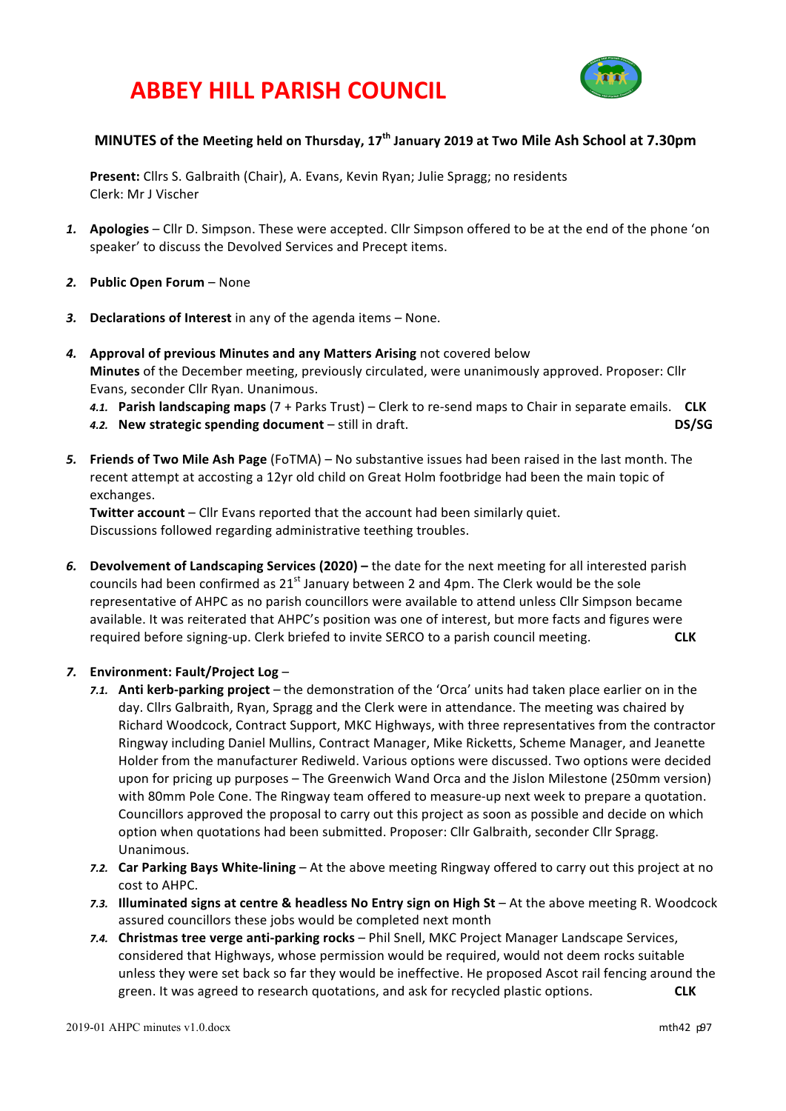## **ABBEY HILL PARISH COUNCIL**



### **MINUTES** of the Meeting held on Thursday, 17<sup>th</sup> January 2019 at Two Mile Ash School at 7.30pm

**Present:** Cllrs S. Galbraith (Chair), A. Evans, Kevin Ryan; Julie Spragg; no residents Clerk: Mr J Vischer

- 1. **Apologies** Cllr D. Simpson. These were accepted. Cllr Simpson offered to be at the end of the phone 'on speaker' to discuss the Devolved Services and Precept items.
- 2. Public Open Forum None
- 3. **Declarations of Interest** in any of the agenda items None.
- 4. Approval of previous Minutes and any Matters Arising not covered below **Minutes** of the December meeting, previously circulated, were unanimously approved. Proposer: Cllr Evans, seconder Cllr Ryan. Unanimous.
	- 4.1. **Parish landscaping maps** (7 + Parks Trust) Clerk to re-send maps to Chair in separate emails. CLK
	- *4.2.* **New strategic spending document** still in draft. **DS/SG**
- 5. Friends of Two Mile Ash Page (FoTMA) No substantive issues had been raised in the last month. The recent attempt at accosting a 12yr old child on Great Holm footbridge had been the main topic of exchanges.

**Twitter account** – Cllr Evans reported that the account had been similarly quiet. Discussions followed regarding administrative teething troubles.

6. Devolvement of Landscaping Services (2020) – the date for the next meeting for all interested parish councils had been confirmed as  $21<sup>st</sup>$  January between 2 and 4pm. The Clerk would be the sole representative of AHPC as no parish councillors were available to attend unless Cllr Simpson became available. It was reiterated that AHPC's position was one of interest, but more facts and figures were required before signing-up. Clerk briefed to invite SERCO to a parish council meeting. **CLK** 

#### *7.* **Environment: Fault/Project Log** –

- **7.1.** Anti kerb-parking project the demonstration of the 'Orca' units had taken place earlier on in the day. Cllrs Galbraith, Ryan, Spragg and the Clerk were in attendance. The meeting was chaired by Richard Woodcock, Contract Support, MKC Highways, with three representatives from the contractor Ringway including Daniel Mullins, Contract Manager, Mike Ricketts, Scheme Manager, and Jeanette Holder from the manufacturer Rediweld. Various options were discussed. Two options were decided upon for pricing up purposes - The Greenwich Wand Orca and the Jislon Milestone (250mm version) with 80mm Pole Cone. The Ringway team offered to measure-up next week to prepare a quotation. Councillors approved the proposal to carry out this project as soon as possible and decide on which option when quotations had been submitted. Proposer: Cllr Galbraith, seconder Cllr Spragg. Unanimous.
- 7.2. **Car Parking Bays White-lining** At the above meeting Ringway offered to carry out this project at no cost to AHPC.
- **7.3. Illuminated signs at centre & headless No Entry sign on High St At the above meeting R. Woodcock** assured councillors these jobs would be completed next month
- 7.4. Christmas tree verge anti-parking rocks Phil Snell, MKC Project Manager Landscape Services, considered that Highways, whose permission would be required, would not deem rocks suitable unless they were set back so far they would be ineffective. He proposed Ascot rail fencing around the green. It was agreed to research quotations, and ask for recycled plastic options. **CLK**